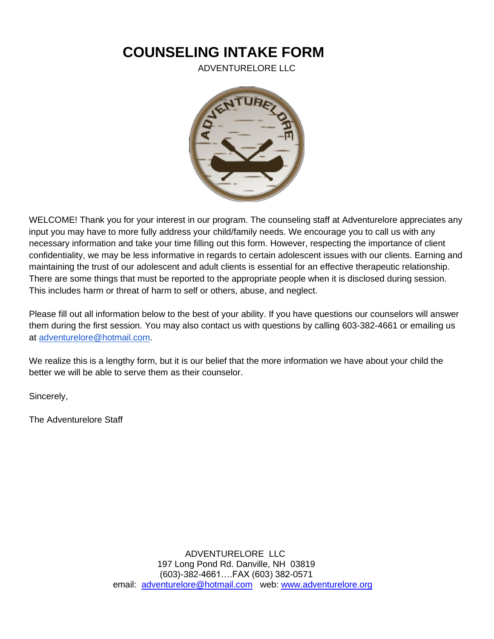# **COUNSELING INTAKE FORM**

ADVENTURELORE LLC



WELCOME! Thank you for your interest in our program. The counseling staff at Adventurelore appreciates any input you may have to more fully address your child/family needs. We encourage you to call us with any necessary information and take your time filling out this form. However, respecting the importance of client confidentiality, we may be less informative in regards to certain adolescent issues with our clients. Earning and maintaining the trust of our adolescent and adult clients is essential for an effective therapeutic relationship. There are some things that must be reported to the appropriate people when it is disclosed during session. This includes harm or threat of harm to self or others, abuse, and neglect.

Please fill out all information below to the best of your ability. If you have questions our counselors will answer them during the first session. You may also contact us with questions by calling 603-382-4661 or emailing us at [adventurelore@hotmail.com.](mailto:adventurelore@hotmail.com)

We realize this is a lengthy form, but it is our belief that the more information we have about your child the better we will be able to serve them as their counselor.

Sincerely,

The Adventurelore Staff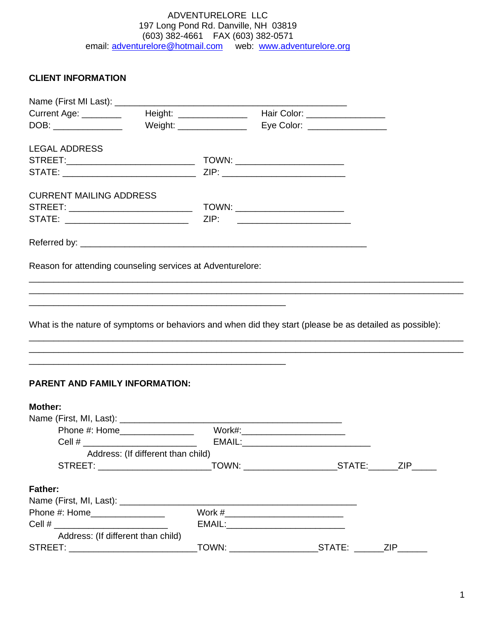# **CLIENT INFORMATION**

| Name (First MI Last): ____                                                                               |                                                                                                                       |                           |                                     |            |
|----------------------------------------------------------------------------------------------------------|-----------------------------------------------------------------------------------------------------------------------|---------------------------|-------------------------------------|------------|
| Current Age: ________                                                                                    |                                                                                                                       |                           |                                     |            |
| DOB: _______________                                                                                     |                                                                                                                       | Weight: _________________ | Eye Color: _________________        |            |
| <b>LEGAL ADDRESS</b>                                                                                     |                                                                                                                       |                           |                                     |            |
|                                                                                                          |                                                                                                                       |                           |                                     |            |
|                                                                                                          |                                                                                                                       |                           |                                     |            |
| <b>CURRENT MAILING ADDRESS</b>                                                                           |                                                                                                                       |                           |                                     |            |
|                                                                                                          |                                                                                                                       |                           |                                     |            |
|                                                                                                          |                                                                                                                       |                           |                                     |            |
|                                                                                                          |                                                                                                                       |                           |                                     |            |
| Reason for attending counseling services at Adventurelore:                                               |                                                                                                                       |                           |                                     |            |
|                                                                                                          | ,我们也不能在这里的人,我们也不能在这里的人,我们也不能在这里的人,我们也不能在这里的人,我们也不能在这里的人,我们也不能在这里的人,我们也不能在这里的人,我们也                                     |                           |                                     |            |
|                                                                                                          | <u> 1989 - Johann Stoff, amerikansk politiker (d. 1989)</u>                                                           |                           |                                     |            |
|                                                                                                          |                                                                                                                       |                           |                                     |            |
| What is the nature of symptoms or behaviors and when did they start (please be as detailed as possible): |                                                                                                                       |                           |                                     |            |
|                                                                                                          |                                                                                                                       |                           |                                     |            |
|                                                                                                          |                                                                                                                       |                           |                                     |            |
|                                                                                                          | <u> 1989 - Johann John Stone, markin sanat masjid a shekara ta 1989 - An tsarat masjid a shekara ta 1980 - An tsa</u> |                           |                                     |            |
| <b>PARENT AND FAMILY INFORMATION:</b>                                                                    |                                                                                                                       |                           |                                     |            |
| <b>Mother:</b>                                                                                           |                                                                                                                       |                           |                                     |            |
|                                                                                                          |                                                                                                                       |                           |                                     |            |
|                                                                                                          | Phone #: Home_________________                                                                                        |                           | Work#:__________________________    |            |
|                                                                                                          |                                                                                                                       |                           |                                     |            |
|                                                                                                          | Address: (If different than child)                                                                                    |                           |                                     |            |
|                                                                                                          |                                                                                                                       |                           |                                     | <b>ZIP</b> |
| <b>Father:</b>                                                                                           |                                                                                                                       |                           |                                     |            |
|                                                                                                          |                                                                                                                       |                           |                                     |            |
| Phone #: Home__________________                                                                          |                                                                                                                       |                           |                                     |            |
|                                                                                                          |                                                                                                                       |                           | EMAIL:_____________________________ |            |
|                                                                                                          | Address: (If different than child)                                                                                    |                           |                                     |            |

STREET: \_\_\_\_\_\_\_\_\_\_\_\_\_\_\_\_\_\_\_\_\_\_\_\_\_\_TOWN: \_\_\_\_\_\_\_\_\_\_\_\_\_\_\_\_\_\_STATE: \_\_\_\_\_\_ZIP\_\_\_\_\_\_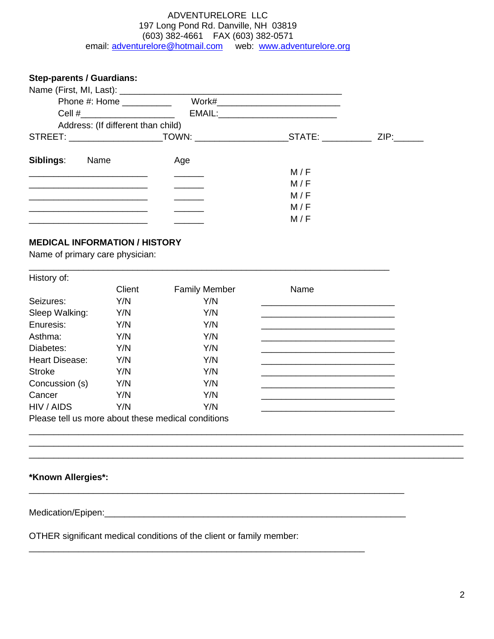**Step-parents / Guardians:** Name (First, MI, Last): \_\_\_\_\_\_\_\_\_\_\_\_\_\_\_\_\_\_\_\_\_\_\_\_\_\_\_\_\_\_\_\_\_\_\_\_\_\_\_\_\_\_\_\_\_ Phone #: Home \_\_\_\_\_\_\_\_\_\_ Work#\_\_\_\_\_\_\_\_\_\_\_\_\_\_\_\_\_\_\_\_\_\_\_\_\_ Cell #\_\_\_\_\_\_\_\_\_\_\_\_\_\_\_\_\_\_\_ EMAIL:\_\_\_\_\_\_\_\_\_\_\_\_\_\_\_\_\_\_\_\_\_\_\_\_ Address: (If different than child) STREET: \_\_\_\_\_\_\_\_\_\_\_\_\_\_\_\_\_\_\_TOWN: \_\_\_\_\_\_\_\_\_\_\_\_\_\_\_\_\_\_\_STATE: \_\_\_\_\_\_\_\_\_\_ ZIP:\_\_\_\_\_\_ **Siblings:** Name Age \_\_\_\_\_\_\_\_\_\_\_\_\_\_\_\_\_\_\_\_\_\_\_\_ \_\_\_\_\_\_ M / F \_\_\_\_\_\_\_\_\_\_\_\_\_\_\_\_\_\_\_\_\_\_\_\_ \_\_\_\_\_\_ M / F  $M/F$ \_\_\_\_\_\_\_\_\_\_\_\_\_\_\_\_\_\_\_\_\_\_\_\_ \_\_\_\_\_\_ M / F \_\_\_\_\_\_\_\_\_\_\_\_\_\_\_\_\_\_\_\_\_\_\_\_ \_\_\_\_\_\_ M / F

# **MEDICAL INFORMATION / HISTORY**

Name of primary care physician:

| History of:           |        |                                                    |      |  |
|-----------------------|--------|----------------------------------------------------|------|--|
|                       | Client | <b>Family Member</b>                               | Name |  |
| Seizures:             | Y/N    | Y/N                                                |      |  |
| Sleep Walking:        | Y/N    | Y/N                                                |      |  |
| Enuresis:             | Y/N    | Y/N                                                |      |  |
| Asthma:               | Y/N    | Y/N                                                |      |  |
| Diabetes:             | Y/N    | Y/N                                                |      |  |
| <b>Heart Disease:</b> | Y/N    | Y/N                                                |      |  |
| <b>Stroke</b>         | Y/N    | Y/N                                                |      |  |
| Concussion (s)        | Y/N    | Y/N                                                |      |  |
| Cancer                | Y/N    | Y/N                                                |      |  |
| HIV / AIDS            | Y/N    | Y/N                                                |      |  |
|                       |        | Please tell us more about these medical conditions |      |  |

\_\_\_\_\_\_\_\_\_\_\_\_\_\_\_\_\_\_\_\_\_\_\_\_\_\_\_\_\_\_\_\_\_\_\_\_\_\_\_\_\_\_\_\_\_\_\_\_\_\_\_\_\_\_\_\_\_\_\_\_\_\_\_\_\_\_\_\_\_\_\_\_\_\_\_\_\_\_\_\_\_\_\_\_\_\_\_\_ \_\_\_\_\_\_\_\_\_\_\_\_\_\_\_\_\_\_\_\_\_\_\_\_\_\_\_\_\_\_\_\_\_\_\_\_\_\_\_\_\_\_\_\_\_\_\_\_\_\_\_\_\_\_\_\_\_\_\_\_\_\_\_\_\_\_\_\_\_\_\_\_\_\_\_\_\_\_\_\_\_\_\_\_\_\_\_\_ \_\_\_\_\_\_\_\_\_\_\_\_\_\_\_\_\_\_\_\_\_\_\_\_\_\_\_\_\_\_\_\_\_\_\_\_\_\_\_\_\_\_\_\_\_\_\_\_\_\_\_\_\_\_\_\_\_\_\_\_\_\_\_\_\_\_\_\_\_\_\_\_\_\_\_\_\_\_\_\_\_\_\_\_\_\_\_\_

\_\_\_\_\_\_\_\_\_\_\_\_\_\_\_\_\_\_\_\_\_\_\_\_\_\_\_\_\_\_\_\_\_\_\_\_\_\_\_\_\_\_\_\_\_\_\_\_\_\_\_\_\_\_\_\_\_\_\_\_\_\_\_\_\_\_\_\_\_\_\_\_\_

### **\*Known Allergies\*:**

#### Medication/Epipen:\_\_\_\_\_\_\_\_\_\_\_\_\_\_\_\_\_\_\_\_\_\_\_\_\_\_\_\_\_\_\_\_\_\_\_\_\_\_\_\_\_\_\_\_\_\_\_\_\_\_\_\_\_\_\_\_\_\_\_\_\_

OTHER significant medical conditions of the client or family member:

\_\_\_\_\_\_\_\_\_\_\_\_\_\_\_\_\_\_\_\_\_\_\_\_\_\_\_\_\_\_\_\_\_\_\_\_\_\_\_\_\_\_\_\_\_\_\_\_\_\_\_\_\_\_\_\_\_\_\_\_\_\_\_\_\_\_\_\_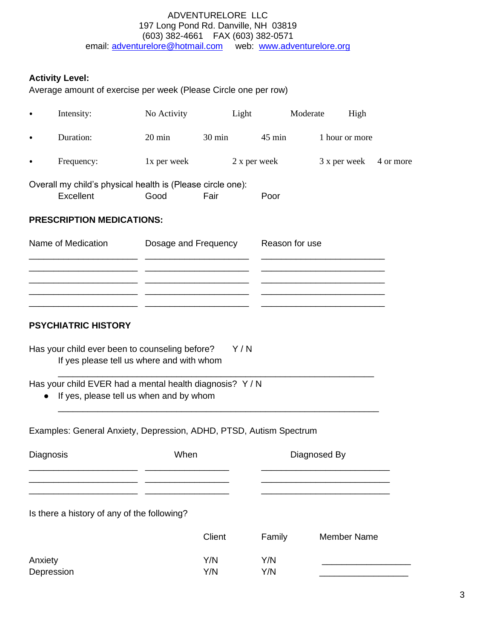**Activity Level:**

Average amount of exercise per week (Please Circle one per row)

|                       | Intensity:                                                                                                                                                                                       | No Activity          |                  | Light          |                  | Moderate | High               |           |
|-----------------------|--------------------------------------------------------------------------------------------------------------------------------------------------------------------------------------------------|----------------------|------------------|----------------|------------------|----------|--------------------|-----------|
|                       | Duration:                                                                                                                                                                                        | $20 \text{ min}$     | $30 \text{ min}$ |                | $45 \text{ min}$ |          | 1 hour or more     |           |
|                       | Frequency:                                                                                                                                                                                       | 1x per week          |                  |                | 2 x per week     |          | 3 x per week       | 4 or more |
|                       | Overall my child's physical health is (Please circle one):<br>Excellent                                                                                                                          | Good                 | Fair             |                | Poor             |          |                    |           |
|                       | <b>PRESCRIPTION MEDICATIONS:</b>                                                                                                                                                                 |                      |                  |                |                  |          |                    |           |
|                       | Name of Medication                                                                                                                                                                               | Dosage and Frequency |                  | Reason for use |                  |          |                    |           |
|                       |                                                                                                                                                                                                  |                      |                  |                |                  |          |                    |           |
|                       |                                                                                                                                                                                                  |                      |                  |                |                  |          |                    |           |
|                       | <b>PSYCHIATRIC HISTORY</b>                                                                                                                                                                       |                      |                  |                |                  |          |                    |           |
| $\bullet$             | Has your child ever been to counseling before?<br>If yes please tell us where and with whom<br>Has your child EVER had a mental health diagnosis? Y/N<br>If yes, please tell us when and by whom |                      |                  | Y/N            |                  |          |                    |           |
|                       | Examples: General Anxiety, Depression, ADHD, PTSD, Autism Spectrum                                                                                                                               |                      |                  |                |                  |          |                    |           |
| Diagnosis             |                                                                                                                                                                                                  | When                 |                  | Diagnosed By   |                  |          |                    |           |
|                       |                                                                                                                                                                                                  |                      |                  |                |                  |          |                    |           |
|                       | Is there a history of any of the following?                                                                                                                                                      |                      |                  |                |                  |          |                    |           |
|                       |                                                                                                                                                                                                  |                      | Client           |                | Family           |          | <b>Member Name</b> |           |
| Anxiety<br>Depression |                                                                                                                                                                                                  |                      | Y/N<br>Y/N       |                | Y/N<br>Y/N       |          |                    |           |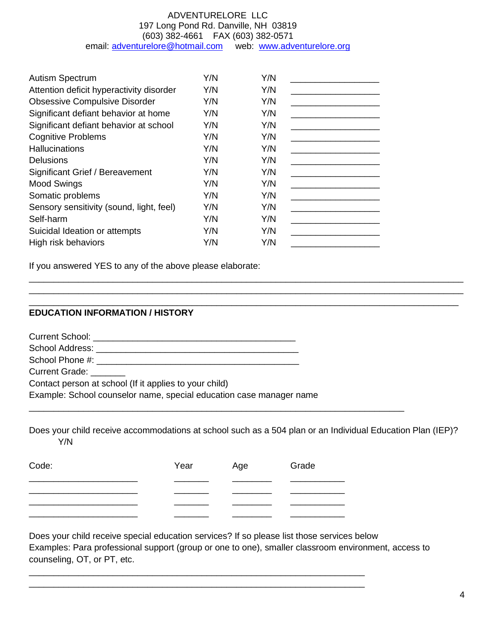| <b>Autism Spectrum</b>                   | Y/N | Y/N |  |
|------------------------------------------|-----|-----|--|
| Attention deficit hyperactivity disorder | Y/N | Y/N |  |
| <b>Obsessive Compulsive Disorder</b>     | Y/N | Y/N |  |
| Significant defiant behavior at home     | Y/N | Y/N |  |
| Significant defiant behavior at school   | Y/N | Y/N |  |
| <b>Cognitive Problems</b>                | Y/N | Y/N |  |
| <b>Hallucinations</b>                    | Y/N | Y/N |  |
| <b>Delusions</b>                         | Y/N | Y/N |  |
| Significant Grief / Bereavement          | Y/N | Y/N |  |
| <b>Mood Swings</b>                       | Y/N | Y/N |  |
| Somatic problems                         | Y/N | Y/N |  |
| Sensory sensitivity (sound, light, feel) | Y/N | Y/N |  |
| Self-harm                                | Y/N | Y/N |  |
| Suicidal Ideation or attempts            | Y/N | Y/N |  |
| High risk behaviors                      | Y/N | Y/N |  |

If you answered YES to any of the above please elaborate:

# **EDUCATION INFORMATION / HISTORY**

Current School: \_\_\_\_\_\_\_\_\_\_\_\_\_\_\_\_\_\_\_\_\_\_\_\_\_\_\_\_\_\_\_\_\_\_\_\_\_\_\_\_\_ School Address: \_\_\_\_\_\_\_\_\_\_\_\_\_\_\_\_\_\_\_\_\_\_\_\_\_\_\_\_\_\_\_\_\_\_\_\_\_\_\_\_\_ School Phone #: \_\_\_\_\_\_\_\_\_\_\_\_\_\_\_\_\_\_\_\_\_\_\_\_\_\_\_\_\_\_\_\_\_\_\_\_\_\_\_\_\_ Current Grade: \_\_\_\_\_\_\_ Contact person at school (If it applies to your child) Example: School counselor name, special education case manager name

Does your child receive accommodations at school such as a 504 plan or an Individual Education Plan (IEP)? Y/N

\_\_\_\_\_\_\_\_\_\_\_\_\_\_\_\_\_\_\_\_\_\_\_\_\_\_\_\_\_\_\_\_\_\_\_\_\_\_\_\_\_\_\_\_\_\_\_\_\_\_\_\_\_\_\_\_\_\_\_\_\_\_\_\_\_\_\_\_\_\_\_\_\_\_\_\_

\_\_\_\_\_\_\_\_\_\_\_\_\_\_\_\_\_\_\_\_\_\_\_\_\_\_\_\_\_\_\_\_\_\_\_\_\_\_\_\_\_\_\_\_\_\_\_\_\_\_\_\_\_\_\_\_\_\_\_\_\_\_\_\_\_\_\_\_\_\_\_\_\_\_\_\_\_\_\_\_\_\_\_\_\_\_\_\_ \_\_\_\_\_\_\_\_\_\_\_\_\_\_\_\_\_\_\_\_\_\_\_\_\_\_\_\_\_\_\_\_\_\_\_\_\_\_\_\_\_\_\_\_\_\_\_\_\_\_\_\_\_\_\_\_\_\_\_\_\_\_\_\_\_\_\_\_\_\_\_\_\_\_\_\_\_\_\_\_\_\_\_\_\_\_\_\_ \_\_\_\_\_\_\_\_\_\_\_\_\_\_\_\_\_\_\_\_\_\_\_\_\_\_\_\_\_\_\_\_\_\_\_\_\_\_\_\_\_\_\_\_\_\_\_\_\_\_\_\_\_\_\_\_\_\_\_\_\_\_\_\_\_\_\_\_\_\_\_\_\_\_\_\_\_\_\_\_\_\_\_\_\_\_\_

| Code: | Year | Age | Grade |
|-------|------|-----|-------|
|       |      |     |       |
|       |      |     |       |
|       |      |     |       |

\_\_\_\_\_\_\_\_\_\_\_\_\_\_\_\_\_\_\_\_\_\_\_\_\_\_\_\_\_\_\_\_\_\_\_\_\_\_\_\_\_\_\_\_\_\_\_\_\_\_\_\_\_\_\_\_\_\_\_\_\_\_\_\_\_\_\_\_ \_\_\_\_\_\_\_\_\_\_\_\_\_\_\_\_\_\_\_\_\_\_\_\_\_\_\_\_\_\_\_\_\_\_\_\_\_\_\_\_\_\_\_\_\_\_\_\_\_\_\_\_\_\_\_\_\_\_\_\_\_\_\_\_\_\_\_\_

Does your child receive special education services? If so please list those services below Examples: Para professional support (group or one to one), smaller classroom environment, access to counseling, OT, or PT, etc.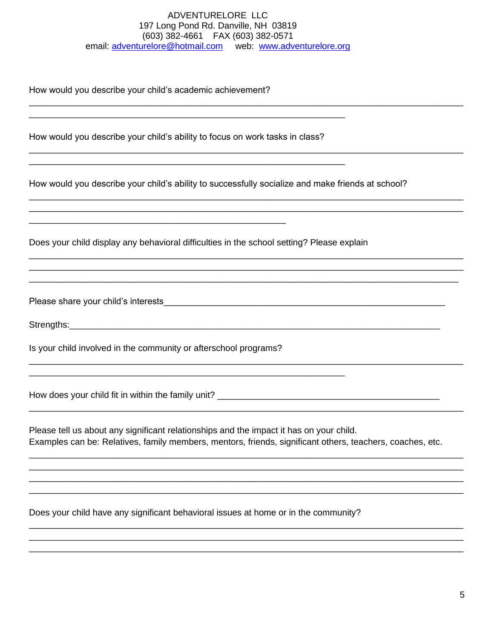How would you describe your child's academic achievement?

How would you describe your child's ability to focus on work tasks in class?

How would you describe your child's ability to successfully socialize and make friends at school?

Does your child display any behavioral difficulties in the school setting? Please explain

Please share your child's interests expression of the state of the state of the state of the state of the state of the state of the state of the state of the state of the state of the state of the state of the state of the

Strengths: <u>www.community.community.community.community.community.com</u>

Is your child involved in the community or afterschool programs?

Please tell us about any significant relationships and the impact it has on your child. Examples can be: Relatives, family members, mentors, friends, significant others, teachers, coaches, etc.

Does your child have any significant behavioral issues at home or in the community?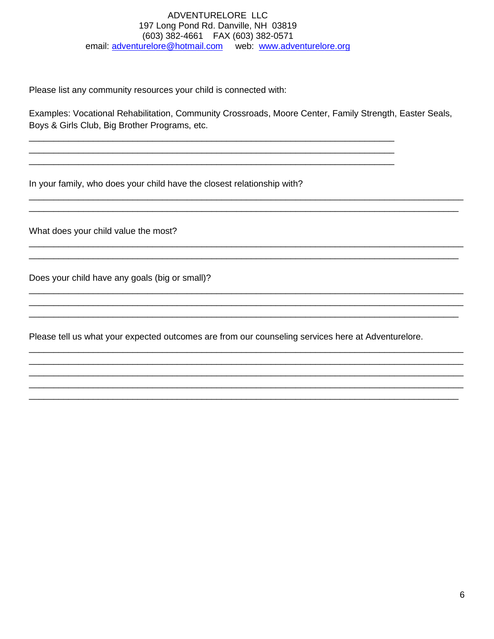Please list any community resources your child is connected with:

Examples: Vocational Rehabilitation, Community Crossroads, Moore Center, Family Strength, Easter Seals, Boys & Girls Club, Big Brother Programs, etc.

In your family, who does your child have the closest relationship with?

What does your child value the most?

Does your child have any goals (big or small)?

Please tell us what your expected outcomes are from our counseling services here at Adventurelore.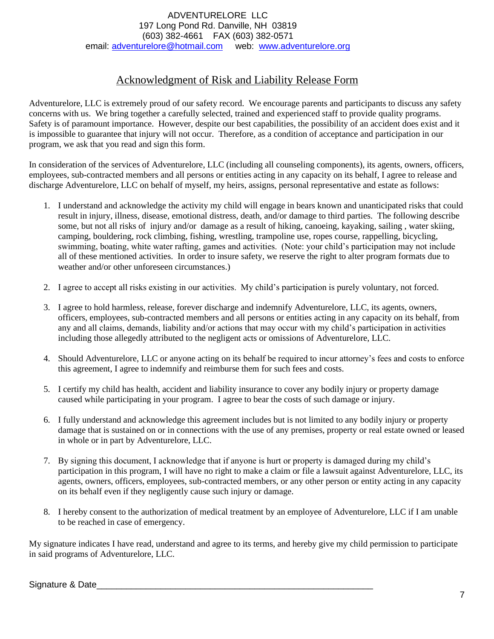# Acknowledgment of Risk and Liability Release Form

Adventurelore, LLC is extremely proud of our safety record. We encourage parents and participants to discuss any safety concerns with us. We bring together a carefully selected, trained and experienced staff to provide quality programs. Safety is of paramount importance. However, despite our best capabilities, the possibility of an accident does exist and it is impossible to guarantee that injury will not occur. Therefore, as a condition of acceptance and participation in our program, we ask that you read and sign this form.

In consideration of the services of Adventurelore, LLC (including all counseling components), its agents, owners, officers, employees, sub-contracted members and all persons or entities acting in any capacity on its behalf, I agree to release and discharge Adventurelore, LLC on behalf of myself, my heirs, assigns, personal representative and estate as follows:

- 1. I understand and acknowledge the activity my child will engage in bears known and unanticipated risks that could result in injury, illness, disease, emotional distress, death, and/or damage to third parties. The following describe some, but not all risks of injury and/or damage as a result of hiking, canoeing, kayaking, sailing , water skiing, camping, bouldering, rock climbing, fishing, wrestling, trampoline use, ropes course, rappelling, bicycling, swimming, boating, white water rafting, games and activities. (Note: your child's participation may not include all of these mentioned activities. In order to insure safety, we reserve the right to alter program formats due to weather and/or other unforeseen circumstances.)
- 2. I agree to accept all risks existing in our activities. My child's participation is purely voluntary, not forced.
- 3. I agree to hold harmless, release, forever discharge and indemnify Adventurelore, LLC, its agents, owners, officers, employees, sub-contracted members and all persons or entities acting in any capacity on its behalf, from any and all claims, demands, liability and/or actions that may occur with my child's participation in activities including those allegedly attributed to the negligent acts or omissions of Adventurelore, LLC.
- 4. Should Adventurelore, LLC or anyone acting on its behalf be required to incur attorney's fees and costs to enforce this agreement, I agree to indemnify and reimburse them for such fees and costs.
- 5. I certify my child has health, accident and liability insurance to cover any bodily injury or property damage caused while participating in your program. I agree to bear the costs of such damage or injury.
- 6. I fully understand and acknowledge this agreement includes but is not limited to any bodily injury or property damage that is sustained on or in connections with the use of any premises, property or real estate owned or leased in whole or in part by Adventurelore, LLC.
- 7. By signing this document, I acknowledge that if anyone is hurt or property is damaged during my child's participation in this program, I will have no right to make a claim or file a lawsuit against Adventurelore, LLC, its agents, owners, officers, employees, sub-contracted members, or any other person or entity acting in any capacity on its behalf even if they negligently cause such injury or damage.
- 8. I hereby consent to the authorization of medical treatment by an employee of Adventurelore, LLC if I am unable to be reached in case of emergency.

My signature indicates I have read, understand and agree to its terms, and hereby give my child permission to participate in said programs of Adventurelore, LLC.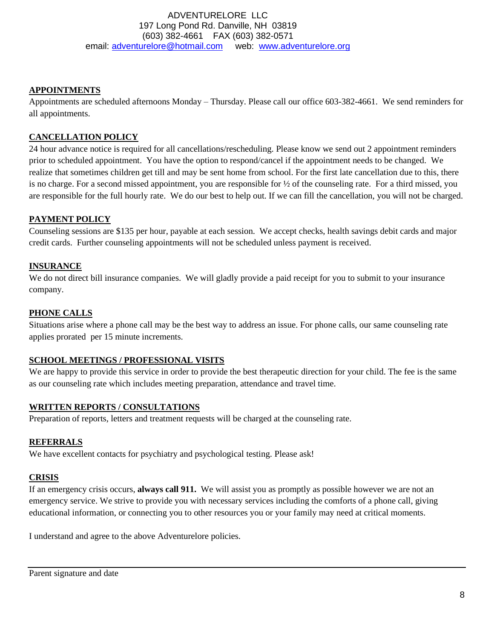### **APPOINTMENTS**

Appointments are scheduled afternoons Monday – Thursday. Please call our office 603-382-4661. We send reminders for all appointments.

# **CANCELLATION POLICY**

24 hour advance notice is required for all cancellations/rescheduling. Please know we send out 2 appointment reminders prior to scheduled appointment. You have the option to respond/cancel if the appointment needs to be changed. We realize that sometimes children get till and may be sent home from school. For the first late cancellation due to this, there is no charge. For a second missed appointment, you are responsible for  $\frac{1}{2}$  of the counseling rate. For a third missed, you are responsible for the full hourly rate. We do our best to help out. If we can fill the cancellation, you will not be charged.

## **PAYMENT POLICY**

Counseling sessions are \$135 per hour, payable at each session. We accept checks, health savings debit cards and major credit cards. Further counseling appointments will not be scheduled unless payment is received.

## **INSURANCE**

We do not direct bill insurance companies. We will gladly provide a paid receipt for you to submit to your insurance company.

## **PHONE CALLS**

Situations arise where a phone call may be the best way to address an issue. For phone calls, our same counseling rate applies prorated per 15 minute increments.

### **SCHOOL MEETINGS / PROFESSIONAL VISITS**

We are happy to provide this service in order to provide the best therapeutic direction for your child. The fee is the same as our counseling rate which includes meeting preparation, attendance and travel time.

### **WRITTEN REPORTS / CONSULTATIONS**

Preparation of reports, letters and treatment requests will be charged at the counseling rate.

### **REFERRALS**

We have excellent contacts for psychiatry and psychological testing. Please ask!

### **CRISIS**

If an emergency crisis occurs, **always call 911.** We will assist you as promptly as possible however we are not an emergency service. We strive to provide you with necessary services including the comforts of a phone call, giving educational information, or connecting you to other resources you or your family may need at critical moments.

I understand and agree to the above Adventurelore policies.